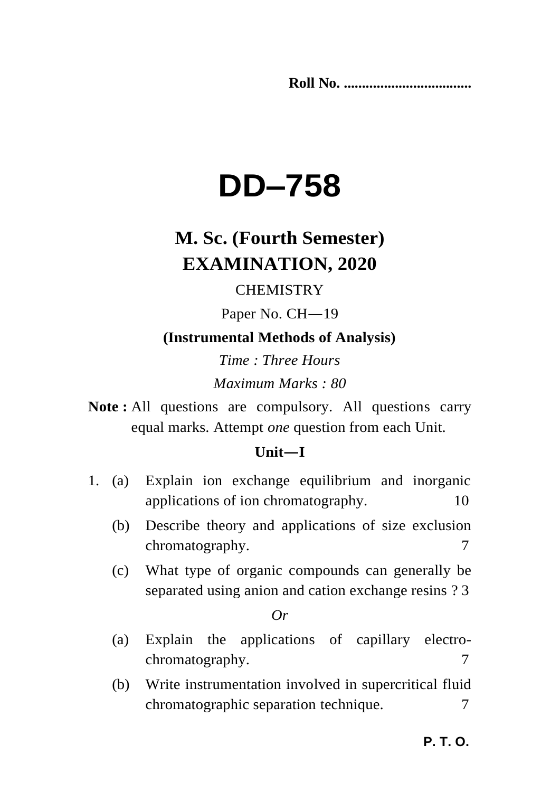**Roll No. ...................................** 

# **DD–758**

# **M. Sc. (Fourth Semester) EXAMINATION, 2020**

# **CHEMISTRY**

Paper No. CH—19

**(Instrumental Methods of Analysis)**

*Time : Three Hours Maximum Marks : 80*

**Note :** All questions are compulsory. All questions carry equal marks. Attempt *one* question from each Unit.

## **Unit—I**

- 1. (a) Explain ion exchange equilibrium and inorganic applications of ion chromatography. 10
	- (b) Describe theory and applications of size exclusion chromatography. 7
	- (c) What type of organic compounds can generally be separated using anion and cation exchange resins ? 3

*Or*

- (a) Explain the applications of capillary electrochromatography. 7
- (b) Write instrumentation involved in supercritical fluid chromatographic separation technique.  $\frac{7}{2}$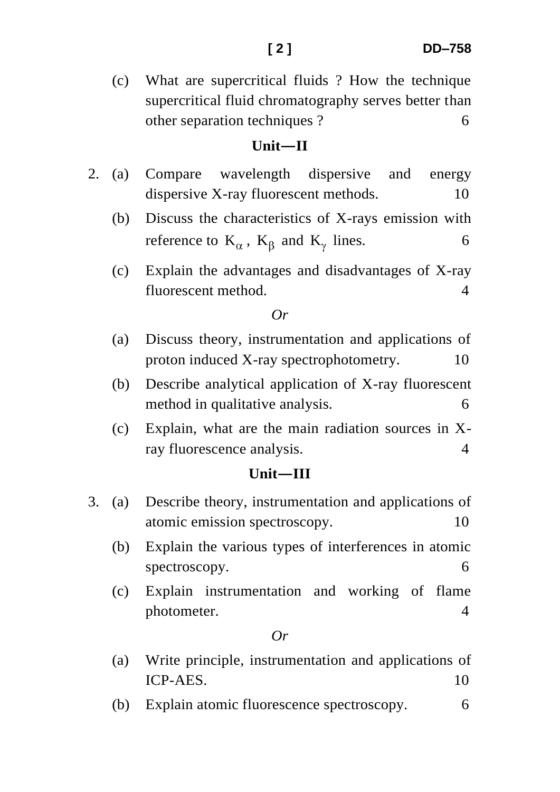#### **Unit—II**

- 2. (a) Compare wavelength dispersive and energy dispersive X-ray fluorescent methods. 10
	- (b) Discuss the characteristics of X-rays emission with reference to  $K_{\alpha}$ ,  $K_{\beta}$  and  $K_{\gamma}$  lines. 6
	- (c) Explain the advantages and disadvantages of X-ray fluorescent method. 4

#### *Or*

- (a) Discuss theory, instrumentation and applications of proton induced X-ray spectrophotometry. 10
- (b) Describe analytical application of X-ray fluorescent method in qualitative analysis. 6
- (c) Explain, what are the main radiation sources in Xray fluorescence analysis. 4

#### **Unit—III**

- 3. (a) Describe theory, instrumentation and applications of atomic emission spectroscopy. 10
	- (b) Explain the various types of interferences in atomic spectroscopy. 6
	- (c) Explain instrumentation and working of flame photometer. 4

#### *Or*

- (a) Write principle, instrumentation and applications of  $ICP-AES$  10
- (b) Explain atomic fluorescence spectroscopy. 6